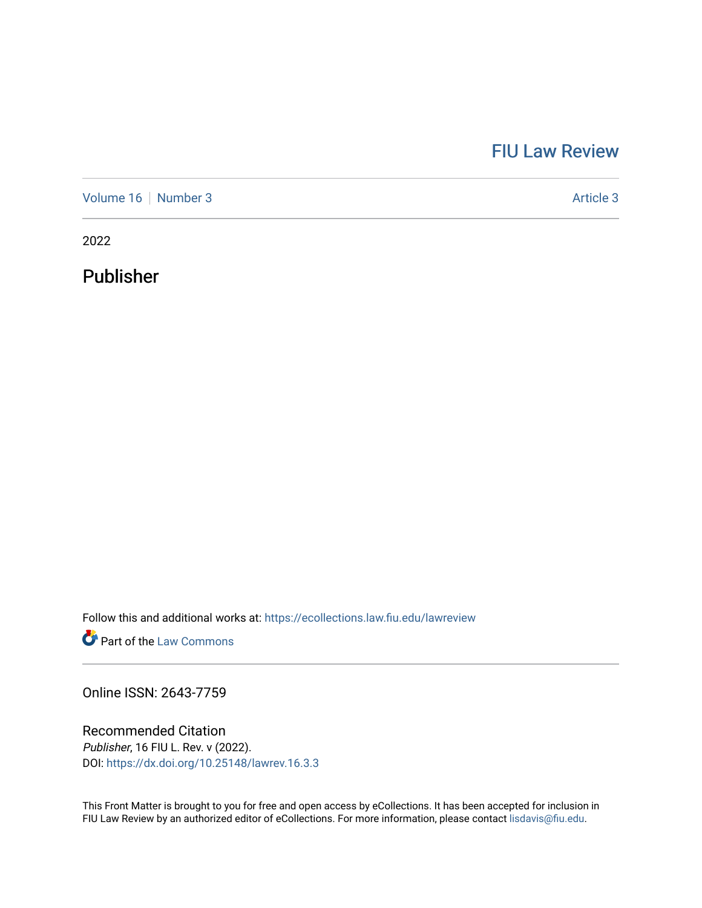## [FIU Law Review](https://ecollections.law.fiu.edu/lawreview)

[Volume 16](https://ecollections.law.fiu.edu/lawreview/vol16) [Number 3](https://ecollections.law.fiu.edu/lawreview/vol16/iss3) Article 3

2022

Publisher

Follow this and additional works at: [https://ecollections.law.fiu.edu/lawreview](https://ecollections.law.fiu.edu/lawreview?utm_source=ecollections.law.fiu.edu%2Flawreview%2Fvol16%2Fiss3%2F3&utm_medium=PDF&utm_campaign=PDFCoverPages)

**Part of the [Law Commons](https://network.bepress.com/hgg/discipline/578?utm_source=ecollections.law.fiu.edu%2Flawreview%2Fvol16%2Fiss3%2F3&utm_medium=PDF&utm_campaign=PDFCoverPages)** 

Online ISSN: 2643-7759

Recommended Citation Publisher, 16 FIU L. Rev. v (2022). DOI:<https://dx.doi.org/10.25148/lawrev.16.3.3>

This Front Matter is brought to you for free and open access by eCollections. It has been accepted for inclusion in FIU Law Review by an authorized editor of eCollections. For more information, please contact [lisdavis@fiu.edu.](mailto:lisdavis@fiu.edu)